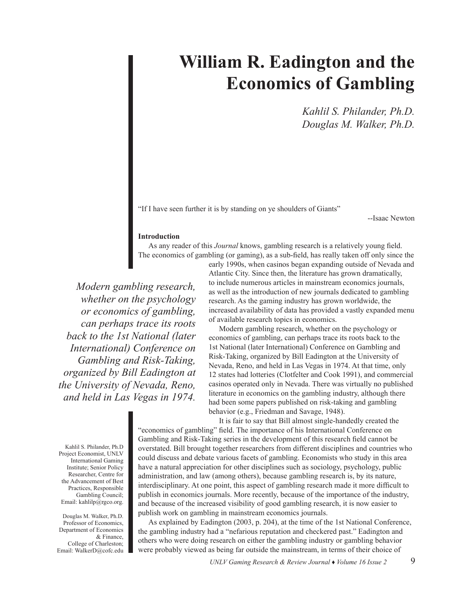## **William R. Eadington and the Economics of Gambling**

*Kahlil S. Philander, Ph.D. Douglas M. Walker, Ph.D.*

"If I have seen further it is by standing on ye shoulders of Giants"

--Isaac Newton

### **Introduction**

As any reader of this *Journal* knows, gambling research is a relatively young field. The economics of gambling (or gaming), as a sub-field, has really taken off only since the

*Modern gambling research, whether on the psychology or economics of gambling, can perhaps trace its roots back to the 1st National (later International) Conference on Gambling and Risk-Taking, organized by Bill Eadington at the University of Nevada, Reno, and held in Las Vegas in 1974.* 

early 1990s, when casinos began expanding outside of Nevada and Atlantic City. Since then, the literature has grown dramatically, to include numerous articles in mainstream economics journals, as well as the introduction of new journals dedicated to gambling research. As the gaming industry has grown worldwide, the increased availability of data has provided a vastly expanded menu of available research topics in economics.

Modern gambling research, whether on the psychology or economics of gambling, can perhaps trace its roots back to the 1st National (later International) Conference on Gambling and Risk-Taking, organized by Bill Eadington at the University of Nevada, Reno, and held in Las Vegas in 1974. At that time, only 12 states had lotteries (Clotfelter and Cook 1991), and commercial casinos operated only in Nevada. There was virtually no published literature in economics on the gambling industry, although there had been some papers published on risk-taking and gambling behavior (e.g., Friedman and Savage, 1948).

Kahlil S. Philander, Ph.D Project Economist, UNLV International Gaming Institute; Senior Policy Researcher, Centre for the Advancement of Best Practices, Responsible Gambling Council; Email: kahlilp@rgco.org.

Douglas M. Walker, Ph.D. Professor of Economics, Department of Economics & Finance, College of Charleston; Email: WalkerD@cofc.edu

It is fair to say that Bill almost single-handedly created the "economics of gambling" field. The importance of his International Conference on Gambling and Risk-Taking series in the development of this research field cannot be overstated. Bill brought together researchers from different disciplines and countries who could discuss and debate various facets of gambling. Economists who study in this area have a natural appreciation for other disciplines such as sociology, psychology, public administration, and law (among others), because gambling research is, by its nature, interdisciplinary. At one point, this aspect of gambling research made it more difficult to publish in economics journals. More recently, because of the importance of the industry, and because of the increased visibility of good gambling research, it is now easier to publish work on gambling in mainstream economics journals.

As explained by Eadington (2003, p. 204), at the time of the 1st National Conference, the gambling industry had a "nefarious reputation and checkered past." Eadington and others who were doing research on either the gambling industry or gambling behavior were probably viewed as being far outside the mainstream, in terms of their choice of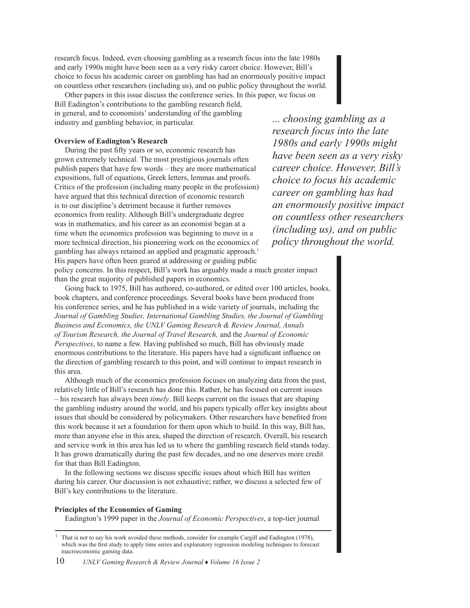research focus. Indeed, even choosing gambling as a research focus into the late 1980s and early 1990s might have been seen as a very risky career choice. However, Bill's choice to focus his academic career on gambling has had an enormously positive impact on countless other researchers (including us), and on public policy throughout the world.

Other papers in this issue discuss the conference series. In this paper, we focus on Bill Eadington's contributions to the gambling research field, in general, and to economists' understanding of the gambling industry and gambling behavior, in particular.

### **Overview of Eadington's Research**

During the past fifty years or so, economic research has grown extremely technical. The most prestigious journals often publish papers that have few words – they are more mathematical expositions, full of equations, Greek letters, lemmas and proofs. Critics of the profession (including many people in the profession) have argued that this technical direction of economic research is to our discipline's detriment because it further removes economics from reality. Although Bill's undergraduate degree was in mathematics, and his career as an economist began at a time when the economics profession was beginning to move in a more technical direction, his pioneering work on the economics of gambling has always retained an applied and pragmatic approach.<sup>1</sup> His papers have often been geared at addressing or guiding public

*... choosing gambling as a research focus into the late 1980s and early 1990s might have been seen as a very risky career choice. However, Bill's choice to focus his academic career on gambling has had an enormously positive impact on countless other researchers (including us), and on public policy throughout the world.* 

policy concerns. In this respect, Bill's work has arguably made a much greater impact than the great majority of published papers in economics.

Going back to 1975, Bill has authored, co-authored, or edited over 100 articles, books, book chapters, and conference proceedings. Several books have been produced from his conference series, and he has published in a wide variety of journals, including the *Journal of Gambling Studies, International Gambling Studies, the Journal of Gambling Business and Economics, the UNLV Gaming Research & Review Journal, Annals of Tourism Research, the Journal of Travel Research,* and the *Journal of Economic Perspectives*, to name a few. Having published so much, Bill has obviously made enormous contributions to the literature. His papers have had a significant influence on the direction of gambling research to this point, and will continue to impact research in this area.

Although much of the economics profession focuses on analyzing data from the past, relatively little of Bill's research has done this. Rather, he has focused on current issues – his research has always been *timely*. Bill keeps current on the issues that are shaping the gambling industry around the world, and his papers typically offer key insights about issues that should be considered by policymakers. Other researchers have benefited from this work because it set a foundation for them upon which to build. In this way, Bill has, more than anyone else in this area, shaped the direction of research. Overall, his research and service work in this area has led us to where the gambling research field stands today. It has grown dramatically during the past few decades, and no one deserves more credit for that than Bill Eadington.

In the following sections we discuss specific issues about which Bill has written during his career. Our discussion is not exhaustive; rather, we discuss a selected few of Bill's key contributions to the literature.

#### **Principles of the Economics of Gaming**

Eadington's 1999 paper in the *Journal of Economic Perspectives*, a top-tier journal

10 *UNLV Gaming Research & Review Journal* ♦ *Volume 16 Issue 2*

 $1$  That is not to say his work avoided these methods, consider for example Cargill and Eadington (1978), which was the first study to apply time series and explanatory regression modeling techniques to forecast macroeconomic gaming data.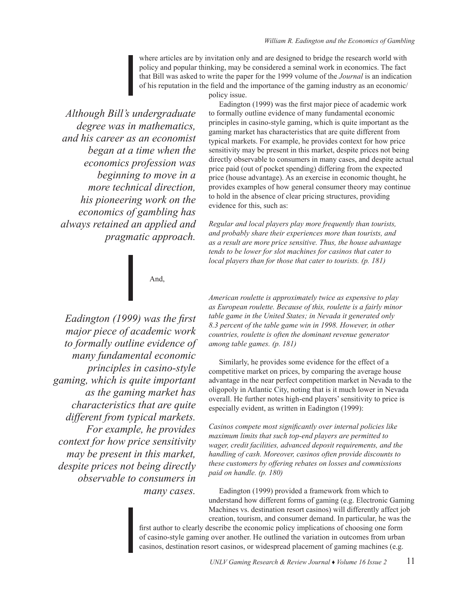where articles are by invitation only and are designed to bridge the research world with policy and popular thinking, may be considered a seminal work in economics. The fact that Bill was asked to write the paper for the 1999 volume of the *Journal* is an indication of his reputation in the field and the importance of the gaming industry as an economic/

policy issue.

*Although Bill's undergraduate degree was in mathematics, and his career as an economist began at a time when the economics profession was beginning to move in a more technical direction, his pioneering work on the economics of gambling has always retained an applied and pragmatic approach.* 

# And,

*Eadington (1999) was the first major piece of academic work to formally outline evidence of many fundamental economic principles in casino-style gaming, which is quite important as the gaming market has characteristics that are quite different from typical markets. For example, he provides context for how price sensitivity may be present in this market, despite prices not being directly observable to consumers in many cases.*

Eadington (1999) was the first major piece of academic work to formally outline evidence of many fundamental economic principles in casino-style gaming, which is quite important as the gaming market has characteristics that are quite different from typical markets. For example, he provides context for how price sensitivity may be present in this market, despite prices not being directly observable to consumers in many cases, and despite actual price paid (out of pocket spending) differing from the expected price (house advantage). As an exercise in economic thought, he provides examples of how general consumer theory may continue to hold in the absence of clear pricing structures, providing evidence for this, such as:

*Regular and local players play more frequently than tourists, and probably share their experiences more than tourists, and as a result are more price sensitive. Thus, the house advantage tends to be lower for slot machines for casinos that cater to local players than for those that cater to tourists. (p. 181)*

*American roulette is approximately twice as expensive to play as European roulette. Because of this, roulette is a fairly minor table game in the United States; in Nevada it generated only 8.3 percent of the table game win in 1998. However, in other countries, roulette is often the dominant revenue generator among table games. (p. 181)*

Similarly, he provides some evidence for the effect of a competitive market on prices, by comparing the average house advantage in the near perfect competition market in Nevada to the oligopoly in Atlantic City, noting that is it much lower in Nevada overall. He further notes high-end players' sensitivity to price is especially evident, as written in Eadington (1999):

*Casinos compete most significantly over internal policies like maximum limits that such top-end players are permitted to wager, credit facilities, advanced deposit requirements, and the handling of cash. Moreover, casinos often provide discounts to these customers by offering rebates on losses and commissions paid on handle. (p. 180)*

Eadington (1999) provided a framework from which to understand how different forms of gaming (e.g. Electronic Gaming Machines vs. destination resort casinos) will differently affect job creation, tourism, and consumer demand. In particular, he was the

first author to clearly describe the economic policy implications of choosing one form of casino-style gaming over another. He outlined the variation in outcomes from urban casinos, destination resort casinos, or widespread placement of gaming machines (e.g.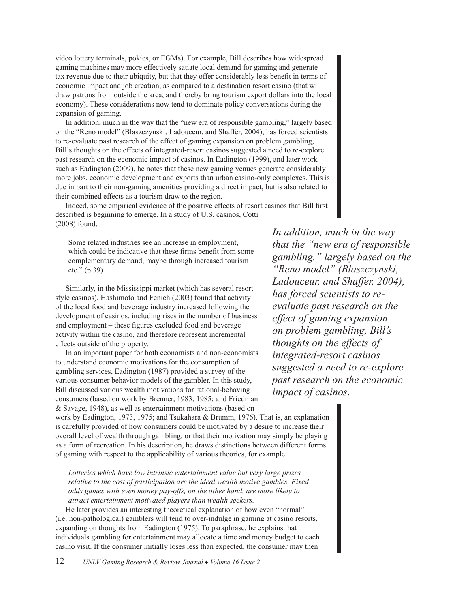video lottery terminals, pokies, or EGMs). For example, Bill describes how widespread gaming machines may more effectively satiate local demand for gaming and generate tax revenue due to their ubiquity, but that they offer considerably less benefit in terms of economic impact and job creation, as compared to a destination resort casino (that will draw patrons from outside the area, and thereby bring tourism export dollars into the local economy). These considerations now tend to dominate policy conversations during the expansion of gaming.

In addition, much in the way that the "new era of responsible gambling," largely based on the "Reno model" (Blaszczynski, Ladouceur, and Shaffer, 2004), has forced scientists to re-evaluate past research of the effect of gaming expansion on problem gambling, Bill's thoughts on the effects of integrated-resort casinos suggested a need to re-explore past research on the economic impact of casinos. In Eadington (1999), and later work such as Eadington (2009), he notes that these new gaming venues generate considerably more jobs, economic development and exports than urban casino-only complexes. This is due in part to their non-gaming amenities providing a direct impact, but is also related to their combined effects as a tourism draw to the region.

Indeed, some empirical evidence of the positive effects of resort casinos that Bill first described is beginning to emerge. In a study of U.S. casinos, Cotti (2008) found,

Some related industries see an increase in employment, which could be indicative that these firms benefit from some complementary demand, maybe through increased tourism etc." (p.39).

Similarly, in the Mississippi market (which has several resortstyle casinos), Hashimoto and Fenich (2003) found that activity of the local food and beverage industry increased following the development of casinos, including rises in the number of business and employment – these figures excluded food and beverage activity within the casino, and therefore represent incremental effects outside of the property.

In an important paper for both economists and non-economists to understand economic motivations for the consumption of gambling services, Eadington (1987) provided a survey of the various consumer behavior models of the gambler. In this study, Bill discussed various wealth motivations for rational-behaving consumers (based on work by Brenner, 1983, 1985; and Friedman & Savage, 1948), as well as entertainment motivations (based on

*In addition, much in the way that the "new era of responsible gambling," largely based on the "Reno model" (Blaszczynski, Ladouceur, and Shaffer, 2004), has forced scientists to reevaluate past research on the effect of gaming expansion on problem gambling, Bill's thoughts on the effects of integrated-resort casinos suggested a need to re-explore past research on the economic impact of casinos.* 

work by Eadington, 1973, 1975; and Tsukahara & Brumm, 1976). That is, an explanation is carefully provided of how consumers could be motivated by a desire to increase their overall level of wealth through gambling, or that their motivation may simply be playing as a form of recreation. In his description, he draws distinctions between different forms of gaming with respect to the applicability of various theories, for example:

*Lotteries which have low intrinsic entertainment value but very large prizes relative to the cost of participation are the ideal wealth motive gambles. Fixed odds games with even money pay-offs, on the other hand, are more likely to attract entertainment motivated players than wealth seekers.*

He later provides an interesting theoretical explanation of how even "normal" (i.e. non-pathological) gamblers will tend to over-indulge in gaming at casino resorts, expanding on thoughts from Eadington (1975). To paraphrase, he explains that individuals gambling for entertainment may allocate a time and money budget to each casino visit. If the consumer initially loses less than expected, the consumer may then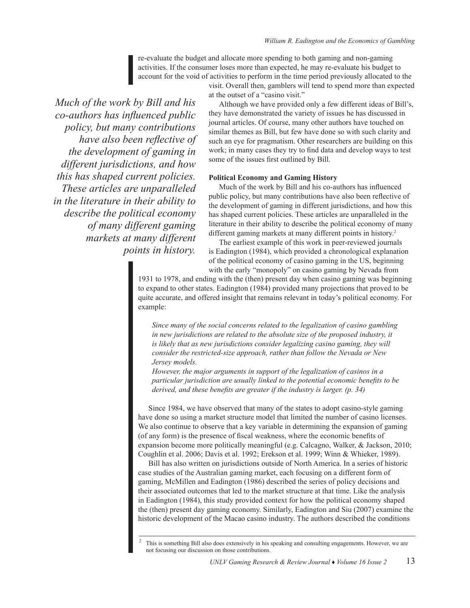re-evaluate the budget and allocate more spending to both gaming and non-gaming activities. If the consumer loses more than expected, he may re-evaluate his budget to account for the void of activities to perform in the time period previously allocated to the

visit. Overall then, gamblers will tend to spend more than expected at the outset of a "casino visit."

*Much of the work by Bill and his co-authors has influenced public policy, but many contributions have also been reflective of the development of gaming in different jurisdictions, and how this has shaped current policies. These articles are unparalleled in the literature in their ability to describe the political economy of many different gaming markets at many different points in history.* 

Although we have provided only a few different ideas of Bill's, they have demonstrated the variety of issues he has discussed in journal articles. Of course, many other authors have touched on similar themes as Bill, but few have done so with such clarity and such an eye for pragmatism. Other researchers are building on this work; in many cases they try to find data and develop ways to test some of the issues first outlined by Bill.

### **Political Economy and Gaming History**

Much of the work by Bill and his co-authors has influenced public policy, but many contributions have also been reflective of the development of gaming in different jurisdictions, and how this has shaped current policies. These articles are unparalleled in the literature in their ability to describe the political economy of many different gaming markets at many different points in history.<sup>2</sup>

The earliest example of this work in peer-reviewed journals is Eadington (1984), which provided a chronological explanation of the political economy of casino gaming in the US, beginning with the early "monopoly" on casino gaming by Nevada from

1931 to 1978, and ending with the (then) present day when casino gaming was beginning to expand to other states. Eadington (1984) provided many projections that proved to be quite accurate, and offered insight that remains relevant in today's political economy. For example:

*Since many of the social concerns related to the legalization of casino gambling in new jurisdictions are related to the absolute size of the proposed industry, it*  is likely that as new jurisdictions consider legalizing casino gaming, they will *consider the restricted-size approach, rather than follow the Nevada or New Jersey models.* 

*However, the major arguments in support of the legalization of casinos in a particular jurisdiction are usually linked to the potential economic benefits to be derived, and these benefits are greater if the industry is larger. (p. 34)*

Since 1984, we have observed that many of the states to adopt casino-style gaming have done so using a market structure model that limited the number of casino licenses. We also continue to observe that a key variable in determining the expansion of gaming (of any form) is the presence of fiscal weakness, where the economic benefits of expansion become more politically meaningful (e.g. Calcagno, Walker, & Jackson, 2010; Coughlin et al. 2006; Davis et al. 1992; Erekson et al. 1999; Winn & Whieker, 1989).

Bill has also written on jurisdictions outside of North America. In a series of historic case studies of the Australian gaming market, each focusing on a different form of gaming, McMillen and Eadington (1986) described the series of policy decisions and their associated outcomes that led to the market structure at that time. Like the analysis in Eadington (1984), this study provided context for how the political economy shaped the (then) present day gaming economy. Similarly, Eadington and Siu (2007) examine the historic development of the Macao casino industry. The authors described the conditions

 $2$  This is something Bill also does extensively in his speaking and consulting engagements. However, we are not focusing our discussion on those contributions.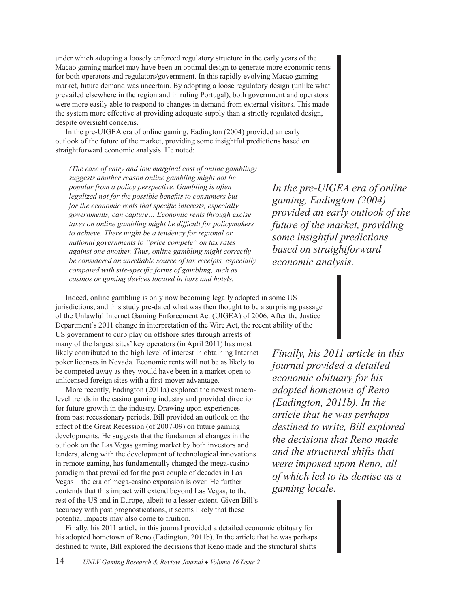under which adopting a loosely enforced regulatory structure in the early years of the Macao gaming market may have been an optimal design to generate more economic rents for both operators and regulators/government. In this rapidly evolving Macao gaming market, future demand was uncertain. By adopting a loose regulatory design (unlike what prevailed elsewhere in the region and in ruling Portugal), both government and operators were more easily able to respond to changes in demand from external visitors. This made the system more effective at providing adequate supply than a strictly regulated design, despite oversight concerns.

In the pre-UIGEA era of online gaming, Eadington (2004) provided an early outlook of the future of the market, providing some insightful predictions based on straightforward economic analysis. He noted:

*(The ease of entry and low marginal cost of online gambling) suggests another reason online gambling might not be popular from a policy perspective. Gambling is often legalized not for the possible benefits to consumers but for the economic rents that specific interests, especially governments, can capture… Economic rents through excise taxes on online gambling might be difficult for policymakers to achieve. There might be a tendency for regional or national governments to "price compete" on tax rates against one another. Thus, online gambling might correctly be considered an unreliable source of tax receipts, especially compared with site-specific forms of gambling, such as casinos or gaming devices located in bars and hotels.*

*In the pre-UIGEA era of online gaming, Eadington (2004) provided an early outlook of the future of the market, providing some insightful predictions based on straightforward economic analysis.* 

Indeed, online gambling is only now becoming legally adopted in some US jurisdictions, and this study pre-dated what was then thought to be a surprising passage of the Unlawful Internet Gaming Enforcement Act (UIGEA) of 2006. After the Justice Department's 2011 change in interpretation of the Wire Act, the recent ability of the

US government to curb play on offshore sites through arrests of many of the largest sites' key operators (in April 2011) has most likely contributed to the high level of interest in obtaining Internet poker licenses in Nevada. Economic rents will not be as likely to be competed away as they would have been in a market open to unlicensed foreign sites with a first-mover advantage.

More recently, Eadington (2011a) explored the newest macrolevel trends in the casino gaming industry and provided direction for future growth in the industry. Drawing upon experiences from past recessionary periods, Bill provided an outlook on the effect of the Great Recession (of 2007-09) on future gaming developments. He suggests that the fundamental changes in the outlook on the Las Vegas gaming market by both investors and lenders, along with the development of technological innovations in remote gaming, has fundamentally changed the mega-casino paradigm that prevailed for the past couple of decades in Las Vegas – the era of mega-casino expansion is over. He further contends that this impact will extend beyond Las Vegas, to the rest of the US and in Europe, albeit to a lesser extent. Given Bill's accuracy with past prognostications, it seems likely that these potential impacts may also come to fruition.

*Finally, his 2011 article in this journal provided a detailed economic obituary for his adopted hometown of Reno (Eadington, 2011b). In the article that he was perhaps destined to write, Bill explored the decisions that Reno made and the structural shifts that were imposed upon Reno, all of which led to its demise as a gaming locale.* 

Finally, his 2011 article in this journal provided a detailed economic obituary for his adopted hometown of Reno (Eadington, 2011b). In the article that he was perhaps destined to write, Bill explored the decisions that Reno made and the structural shifts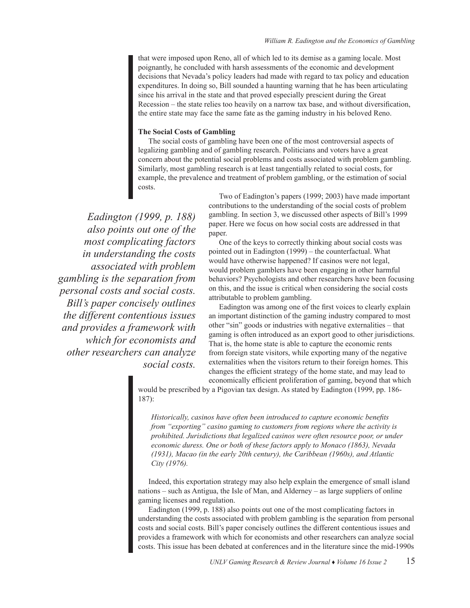that were imposed upon Reno, all of which led to its demise as a gaming locale. Most poignantly, he concluded with harsh assessments of the economic and development decisions that Nevada's policy leaders had made with regard to tax policy and education expenditures. In doing so, Bill sounded a haunting warning that he has been articulating since his arrival in the state and that proved especially prescient during the Great Recession – the state relies too heavily on a narrow tax base, and without diversification, the entire state may face the same fate as the gaming industry in his beloved Reno.

### **The Social Costs of Gambling**

The social costs of gambling have been one of the most controversial aspects of legalizing gambling and of gambling research. Politicians and voters have a great concern about the potential social problems and costs associated with problem gambling. Similarly, most gambling research is at least tangentially related to social costs, for example, the prevalence and treatment of problem gambling, or the estimation of social costs.

*Eadington (1999, p. 188) also points out one of the most complicating factors in understanding the costs associated with problem gambling is the separation from personal costs and social costs. Bill's paper concisely outlines the different contentious issues and provides a framework with which for economists and other researchers can analyze social costs.* 

Two of Eadington's papers (1999; 2003) have made important contributions to the understanding of the social costs of problem gambling. In section 3, we discussed other aspects of Bill's 1999 paper. Here we focus on how social costs are addressed in that paper.

One of the keys to correctly thinking about social costs was pointed out in Eadington (1999) – the counterfactual. What would have otherwise happened? If casinos were not legal, would problem gamblers have been engaging in other harmful behaviors? Psychologists and other researchers have been focusing on this, and the issue is critical when considering the social costs attributable to problem gambling.

Eadington was among one of the first voices to clearly explain an important distinction of the gaming industry compared to most other "sin" goods or industries with negative externalities – that gaming is often introduced as an export good to other jurisdictions. That is, the home state is able to capture the economic rents from foreign state visitors, while exporting many of the negative externalities when the visitors return to their foreign homes. This changes the efficient strategy of the home state, and may lead to economically efficient proliferation of gaming, beyond that which

would be prescribed by a Pigovian tax design. As stated by Eadington (1999, pp. 186- 187):

*Historically, casinos have often been introduced to capture economic benefits from "exporting" casino gaming to customers from regions where the activity is prohibited. Jurisdictions that legalized casinos were often resource poor, or under economic duress. One or both of these factors apply to Monaco (1863), Nevada (1931), Macao (in the early 20th century), the Caribbean (1960s), and Atlantic City (1976).*

Indeed, this exportation strategy may also help explain the emergence of small island nations – such as Antigua, the Isle of Man, and Alderney – as large suppliers of online gaming licenses and regulation.

Eadington (1999, p. 188) also points out one of the most complicating factors in understanding the costs associated with problem gambling is the separation from personal costs and social costs. Bill's paper concisely outlines the different contentious issues and provides a framework with which for economists and other researchers can analyze social costs. This issue has been debated at conferences and in the literature since the mid-1990s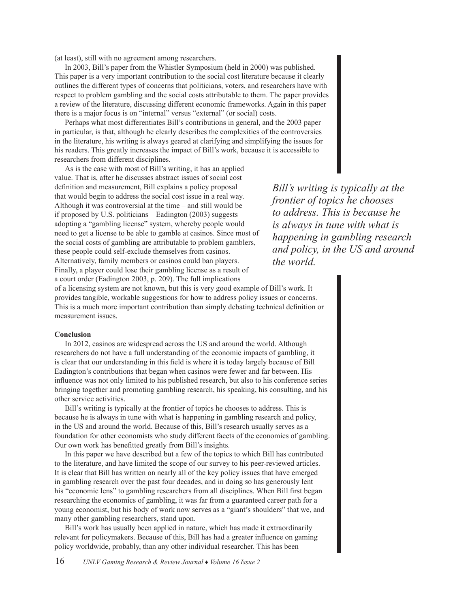(at least), still with no agreement among researchers.

In 2003, Bill's paper from the Whistler Symposium (held in 2000) was published. This paper is a very important contribution to the social cost literature because it clearly outlines the different types of concerns that politicians, voters, and researchers have with respect to problem gambling and the social costs attributable to them. The paper provides a review of the literature, discussing different economic frameworks. Again in this paper there is a major focus is on "internal" versus "external" (or social) costs.

Perhaps what most differentiates Bill's contributions in general, and the 2003 paper in particular, is that, although he clearly describes the complexities of the controversies in the literature, his writing is always geared at clarifying and simplifying the issues for his readers. This greatly increases the impact of Bill's work, because it is accessible to researchers from different disciplines.

As is the case with most of Bill's writing, it has an applied value. That is, after he discusses abstract issues of social cost definition and measurement, Bill explains a policy proposal that would begin to address the social cost issue in a real way. Although it was controversial at the time – and still would be if proposed by U.S. politicians – Eadington (2003) suggests adopting a "gambling license" system, whereby people would need to get a license to be able to gamble at casinos. Since most of the social costs of gambling are attributable to problem gamblers, these people could self-exclude themselves from casinos. Alternatively, family members or casinos could ban players. Finally, a player could lose their gambling license as a result of a court order (Eadington 2003, p. 209). The full implications

*Bill's writing is typically at the frontier of topics he chooses to address. This is because he is always in tune with what is happening in gambling research and policy, in the US and around the world.* 

of a licensing system are not known, but this is very good example of Bill's work. It provides tangible, workable suggestions for how to address policy issues or concerns. This is a much more important contribution than simply debating technical definition or measurement issues.

### **Conclusion**

In 2012, casinos are widespread across the US and around the world. Although researchers do not have a full understanding of the economic impacts of gambling, it is clear that our understanding in this field is where it is today largely because of Bill Eadington's contributions that began when casinos were fewer and far between. His influence was not only limited to his published research, but also to his conference series bringing together and promoting gambling research, his speaking, his consulting, and his other service activities.

Bill's writing is typically at the frontier of topics he chooses to address. This is because he is always in tune with what is happening in gambling research and policy, in the US and around the world. Because of this, Bill's research usually serves as a foundation for other economists who study different facets of the economics of gambling. Our own work has benefitted greatly from Bill's insights.

In this paper we have described but a few of the topics to which Bill has contributed to the literature, and have limited the scope of our survey to his peer-reviewed articles. It is clear that Bill has written on nearly all of the key policy issues that have emerged in gambling research over the past four decades, and in doing so has generously lent his "economic lens" to gambling researchers from all disciplines. When Bill first began researching the economics of gambling, it was far from a guaranteed career path for a young economist, but his body of work now serves as a "giant's shoulders" that we, and many other gambling researchers, stand upon.

Bill's work has usually been applied in nature, which has made it extraordinarily relevant for policymakers. Because of this, Bill has had a greater influence on gaming policy worldwide, probably, than any other individual researcher. This has been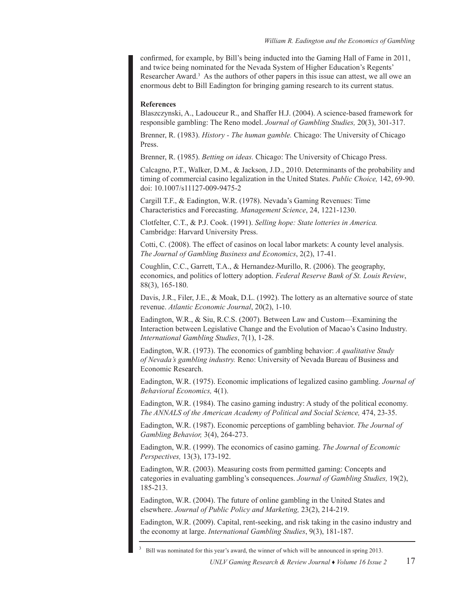confirmed, for example, by Bill's being inducted into the Gaming Hall of Fame in 2011, and twice being nominated for the Nevada System of Higher Education's Regents' Researcher Award.<sup>3</sup> As the authors of other papers in this issue can attest, we all owe an enormous debt to Bill Eadington for bringing gaming research to its current status.

### **References**

Blaszczynski, A., Ladouceur R., and Shaffer H.J. (2004). A science-based framework for responsible gambling: The Reno model. *Journal of Gambling Studies,* 20(3), 301-317.

Brenner, R. (1983). *History - The human gamble.* Chicago: The University of Chicago Press.

Brenner, R. (1985). *Betting on ideas.* Chicago: The University of Chicago Press.

Calcagno, P.T., Walker, D.M., & Jackson, J.D., 2010. Determinants of the probability and timing of commercial casino legalization in the United States. *Public Choice,* 142, 69-90. doi: 10.1007/s11127-009-9475-2

Cargill T.F., & Eadington, W.R. (1978). Nevada's Gaming Revenues: Time Characteristics and Forecasting. *Management Science*, 24, 1221-1230.

Clotfelter, C.T., & P.J. Cook. (1991). *Selling hope: State lotteries in America.* Cambridge: Harvard University Press.

Cotti, C. (2008). The effect of casinos on local labor markets: A county level analysis. *The Journal of Gambling Business and Economics*, 2(2), 17-41.

Coughlin, C.C., Garrett, T.A., & Hernandez-Murillo, R. (2006). The geography, economics, and politics of lottery adoption. *Federal Reserve Bank of St. Louis Review*, 88(3), 165-180.

Davis, J.R., Filer, J.E., & Moak, D.L. (1992). The lottery as an alternative source of state revenue. *Atlantic Economic Journal*, 20(2), 1-10.

Eadington, W.R., & Siu, R.C.S. (2007). Between Law and Custom—Examining the Interaction between Legislative Change and the Evolution of Macao's Casino Industry. *International Gambling Studies*, 7(1), 1-28.

Eadington, W.R. (1973). The economics of gambling behavior: *A qualitative Study of Nevada's gambling industry.* Reno: University of Nevada Bureau of Business and Economic Research.

Eadington, W.R. (1975). Economic implications of legalized casino gambling. *Journal of Behavioral Economics,* 4(1).

Eadington, W.R. (1984). The casino gaming industry: A study of the political economy. *The ANNALS of the American Academy of Political and Social Science,* 474, 23-35.

Eadington, W.R. (1987). Economic perceptions of gambling behavior. *The Journal of Gambling Behavior,* 3(4), 264-273.

Eadington, W.R. (1999). The economics of casino gaming. *The Journal of Economic Perspectives,* 13(3), 173-192.

Eadington, W.R. (2003). Measuring costs from permitted gaming: Concepts and categories in evaluating gambling's consequences. *Journal of Gambling Studies,* 19(2), 185-213.

Eadington, W.R. (2004). The future of online gambling in the United States and elsewhere. *Journal of Public Policy and Marketing,* 23(2), 214-219.

Eadington, W.R. (2009). Capital, rent-seeking, and risk taking in the casino industry and the economy at large. *International Gambling Studies*, 9(3), 181-187.

<sup>3</sup>Bill was nominated for this year's award, the winner of which will be announced in spring 2013.